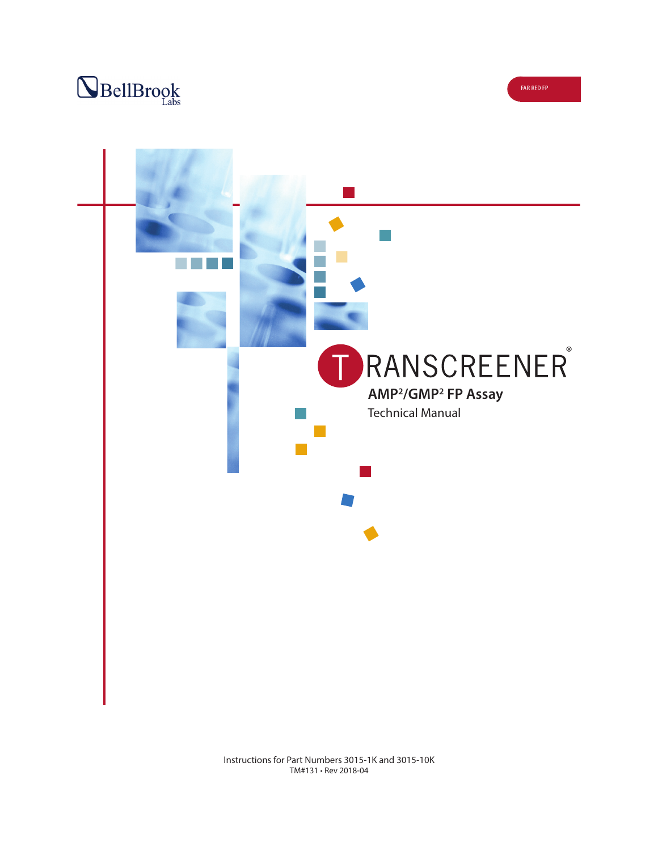



Instructions for Part Numbers 3015-1K and 3015-10K TM#131 • Rev 2018-04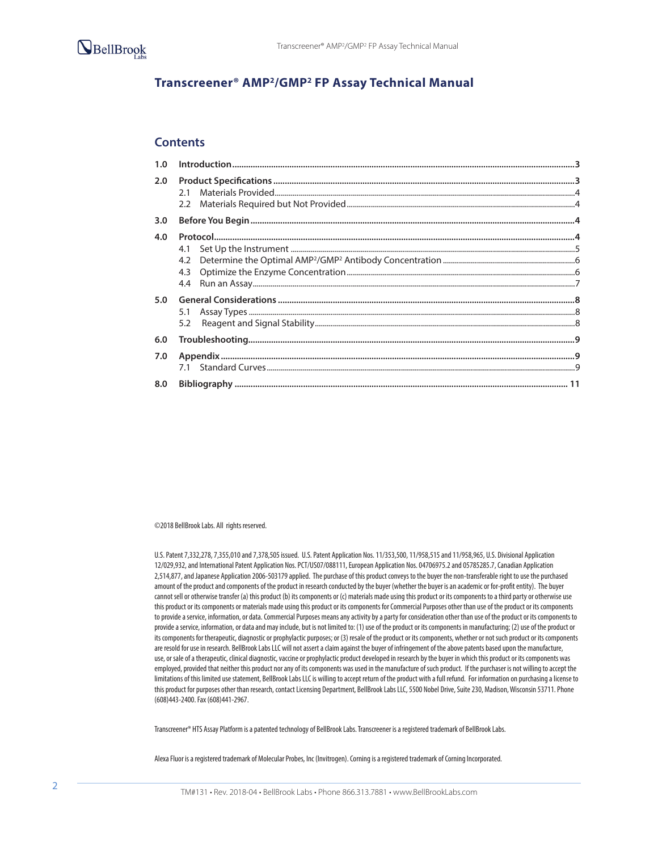

# **Transcreener® AMP2/GMP2 FP Assay Technical Manual**

### **Contents**

| 2.0              |  |
|------------------|--|
| 3.0 <sub>2</sub> |  |
| 4.0              |  |
| 5.0              |  |
| 6.0              |  |
| 7.0              |  |
| 8.0              |  |

©2018 BellBrook Labs. All rights reserved.

U.S. Patent 7,332,278, 7,355,010 and 7,378,505 issued. U.S. Patent Application Nos. 11/353,500, 11/958,515 and 11/958,965, U.S. Divisional Application 12/029,932, and International Patent Application Nos. PCT/US07/088111, European Application Nos. 04706975.2 and 05785285.7, Canadian Application 2,514,877, and Japanese Application 2006-503179 applied. The purchase of this product conveys to the buyer the non-transferable right to use the purchased amount of the product and components of the product in research conducted by the buyer (whether the buyer is an academic or for-profit entity). The buyer cannot sell or otherwise transfer (a) this product (b) its components or (c) materials made using this product or its components to a third party or otherwise use this product or its components or materials made using this product or its components for Commercial Purposes other than use of the product or its components to provide a service, information, or data. Commercial Purposes means any activity by a party for consideration other than use of the product or its components to provide a service, information, or data and may include, but is not limited to: (1) use of the product or its components in manufacturing; (2) use of the product or its components for therapeutic, diagnostic or prophylactic purposes; or (3) resale of the product or its components, whether or not such product or its components are resold for use in research. BellBrook Labs LLC will not assert a claim against the buyer of infringement of the above patents based upon the manufacture, use, or sale of a therapeutic, clinical diagnostic, vaccine or prophylactic product developed in research by the buyer in which this product or its components was employed, provided that neither this product nor any of its components was used in the manufacture of such product. If the purchaser is not willing to accept the limitations of this limited use statement, BellBrook Labs LLC is willing to accept return of the product with a full refund. For information on purchasing a license to this product for purposes other than research, contact Licensing Department, BellBrook Labs LLC, 5500 Nobel Drive, Suite 230, Madison, Wisconsin 53711. Phone (608)443-2400. Fax (608)441-2967.

Transcreener® HTS Assay Platform is a patented technology of BellBrook Labs. Transcreener is a registered trademark of BellBrook Labs.

Alexa Fluor is a registered trademark of Molecular Probes, Inc (Invitrogen). Corning is a registered trademark of Corning Incorporated.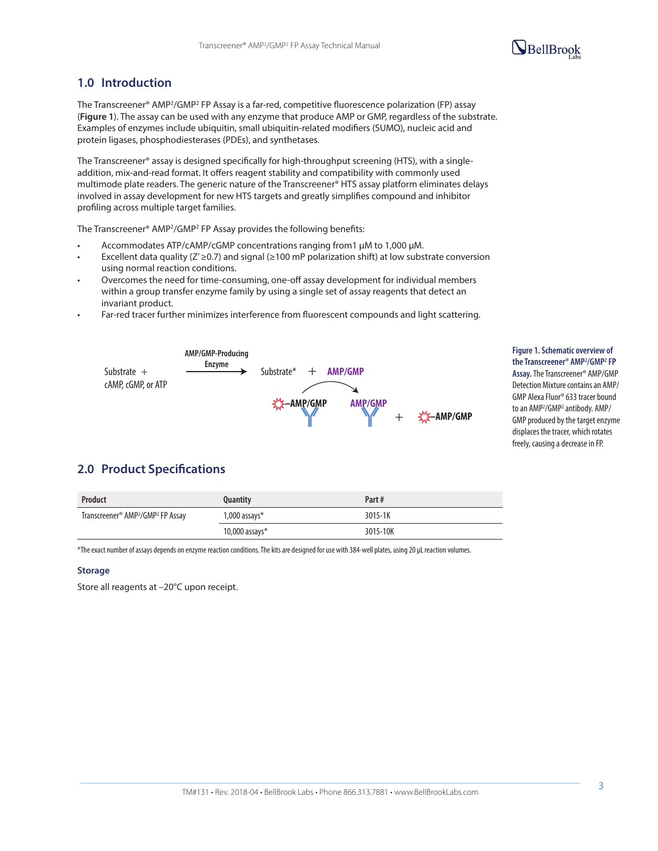# $\mathbf{Q}_{\text{BellBrook}}$

# **1.0 Introduction**

The Transcreener® AMP2/GMP2 FP Assay is a far-red, competitive fluorescence polarization (FP) assay (**Figure 1**). The assay can be used with any enzyme that produce AMP or GMP, regardless of the substrate. Examples of enzymes include ubiquitin, small ubiquitin-related modifiers (SUMO), nucleic acid and protein ligases, phosphodiesterases (PDEs), and synthetases.

The Transcreener® assay is designed specifically for high-throughput screening (HTS), with a singleaddition, mix-and-read format. It offers reagent stability and compatibility with commonly used multimode plate readers. The generic nature of the Transcreener® HTS assay platform eliminates delays involved in assay development for new HTS targets and greatly simplifies compound and inhibitor profiling across multiple target families.

The Transcreener® AMP2/GMP2 FP Assay provides the following benefits:

- Accommodates ATP/cAMP/cGMP concentrations ranging from1 µM to 1,000 µM.
- Excellent data quality ( $Z' \ge 0.7$ ) and signal ( $\ge 100$  mP polarization shift) at low substrate conversion using normal reaction conditions.
- Overcomes the need for time-consuming, one-off assay development for individual members within a group transfer enzyme family by using a single set of assay reagents that detect an invariant product.
- Far-red tracer further minimizes interference from fluorescent compounds and light scattering.



# **Figure 1. Schematic overview of**

**the Transcreener® AMP2 /GMP2 FP Assay.** The Transcreener® AMP/GMP Detection Mixture contains an AMP/ GMP Alexa Fluor® 633 tracer bound to an AMP<sup>2</sup>/GMP<sup>2</sup> antibody. AMP/ GMP produced by the target enzyme displaces the tracer, which rotates freely, causing a decrease in FP.

# **2.0 Product Specifications**

| <b>Product</b>                                            | Quantity           | Part#    |  |
|-----------------------------------------------------------|--------------------|----------|--|
| Transcreener® AMP <sup>2</sup> /GMP <sup>2</sup> FP Assay | $1,000$ assays $*$ | 3015-1K  |  |
|                                                           | 10,000 assays $*$  | 3015-10K |  |

\*The exact number of assays depends on enzyme reaction conditions. The kits are designed for use with 384-well plates, using 20 µL reaction volumes.

#### **Storage**

Store all reagents at –20°C upon receipt.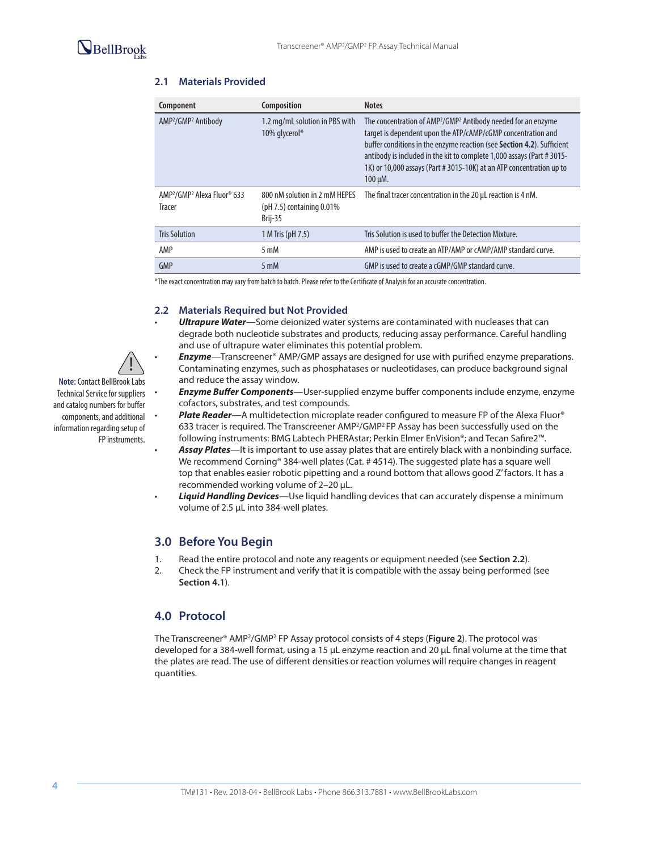

## **2.1 Materials Provided**

| Component                                                                 | Composition                                                              | <b>Notes</b>                                                                                                                                                                                                                                                                                                                                                                                |
|---------------------------------------------------------------------------|--------------------------------------------------------------------------|---------------------------------------------------------------------------------------------------------------------------------------------------------------------------------------------------------------------------------------------------------------------------------------------------------------------------------------------------------------------------------------------|
| AMP <sup>2</sup> /GMP <sup>2</sup> Antibody                               | 1.2 mg/mL solution in PBS with<br>10% glycerol*                          | The concentration of AMP <sup>2</sup> /GMP <sup>2</sup> Antibody needed for an enzyme<br>target is dependent upon the ATP/cAMP/cGMP concentration and<br>buffer conditions in the enzyme reaction (see Section 4.2). Sufficient<br>antibody is included in the kit to complete 1,000 assays (Part #3015-<br>1K) or 10,000 assays (Part # 3015-10K) at an ATP concentration up to<br>100 µM. |
| AMP <sup>2</sup> /GMP <sup>2</sup> Alexa Fluor <sup>®</sup> 633<br>Tracer | 800 nM solution in 2 mM HEPES<br>( $pH$ 7.5) containing 0.01%<br>Brij-35 | The final tracer concentration in the 20 µL reaction is 4 nM.                                                                                                                                                                                                                                                                                                                               |
| <b>Tris Solution</b>                                                      | 1 M Tris (pH 7.5)                                                        | Tris Solution is used to buffer the Detection Mixture.                                                                                                                                                                                                                                                                                                                                      |
| AMP                                                                       | $5 \text{ mM}$                                                           | AMP is used to create an ATP/AMP or cAMP/AMP standard curve.                                                                                                                                                                                                                                                                                                                                |
| GMP                                                                       | $5 \text{ mM}$                                                           | GMP is used to create a cGMP/GMP standard curve.                                                                                                                                                                                                                                                                                                                                            |
|                                                                           |                                                                          |                                                                                                                                                                                                                                                                                                                                                                                             |

\*The exact concentration may vary from batch to batch. Please refer to the Certificate of Analysis for an accurate concentration.

### **2.2 Materials Required but Not Provided**

- *Ultrapure Water*—Some deionized water systems are contaminated with nucleases that can degrade both nucleotide substrates and products, reducing assay performance. Careful handling and use of ultrapure water eliminates this potential problem.
- *Enzyme*—Transcreener® AMP/GMP assays are designed for use with purified enzyme preparations. Contaminating enzymes, such as phosphatases or nucleotidases, can produce background signal and reduce the assay window.
	- *Enzyme Buffer Components*—User-supplied enzyme buffer components include enzyme, enzyme cofactors, substrates, and test compounds.
	- *Plate Reader*—A multidetection microplate reader configured to measure FP of the Alexa Fluor® 633 tracer is required. The Transcreener AMP<sup>2</sup>/GMP<sup>2</sup> FP Assay has been successfully used on the following instruments: BMG Labtech PHERAstar; Perkin Elmer EnVision®; and Tecan Safire2™.
	- *Assay Plates*—It is important to use assay plates that are entirely black with a nonbinding surface. We recommend Corning® 384-well plates (Cat. # 4514). The suggested plate has a square well top that enables easier robotic pipetting and a round bottom that allows good Z' factors. It has a recommended working volume of 2–20 µL.
- *Liquid Handling Devices*—Use liquid handling devices that can accurately dispense a minimum volume of 2.5 µL into 384-well plates.

## **3.0 Before You Begin**

- 1. Read the entire protocol and note any reagents or equipment needed (see **Section 2.2**).
- 2. Check the FP instrument and verify that it is compatible with the assay being performed (see **Section 4.1**).

## **4.0 Protocol**

The Transcreener® AMP2/GMP2 FP Assay protocol consists of 4 steps (**Figure 2**). The protocol was developed for a 384-well format, using a 15 µL enzyme reaction and 20 µL final volume at the time that the plates are read. The use of different densities or reaction volumes will require changes in reagent quantities.



**Note:** Contact BellBrook Labs Technical Service for suppliers and catalog numbers for buffer components, and additional information regarding setup of FP instruments.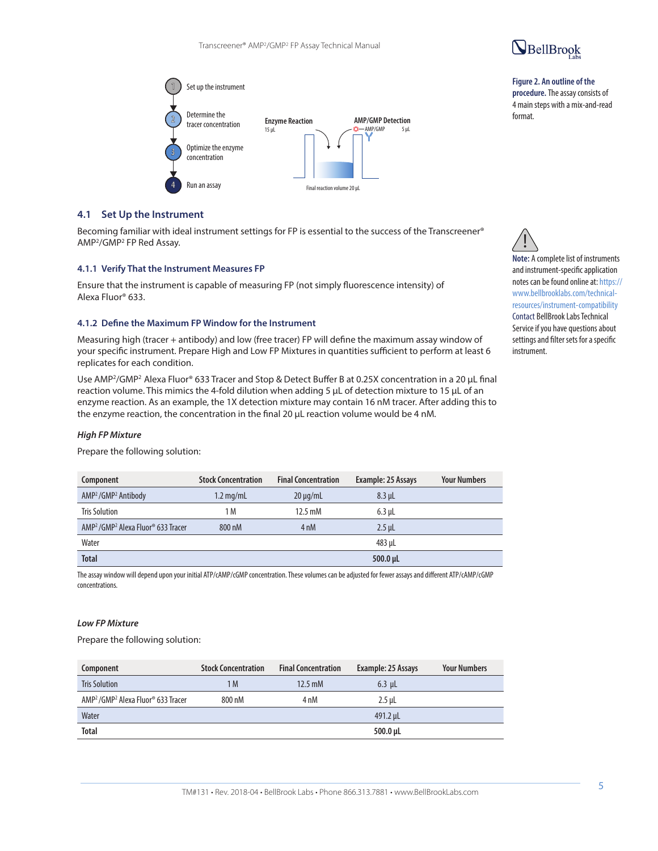

#### **Figure 2. An outline of the procedure.** The assay consists of 4 main steps with a mix-and-read format.



## **4.1 Set Up the Instrument**

Becoming familiar with ideal instrument settings for FP is essential to the success of the Transcreener® AMP2/GMP2 FP Red Assay.

#### **4.1.1 Verify That the Instrument Measures FP**

Ensure that the instrument is capable of measuring FP (not simply fluorescence intensity) of Alexa Fluor® 633.

#### **4.1.2 Define the Maximum FP Window for the Instrument**

Measuring high (tracer + antibody) and low (free tracer) FP will define the maximum assay window of your specific instrument. Prepare High and Low FP Mixtures in quantities sufficient to perform at least 6 replicates for each condition.

Use AMP<sup>2</sup>/GMP<sup>2</sup> Alexa Fluor® 633 Tracer and Stop & Detect Buffer B at 0.25X concentration in a 20 µL final reaction volume. This mimics the 4-fold dilution when adding 5 µL of detection mixture to 15 µL of an enzyme reaction. As an example, the 1X detection mixture may contain 16 nM tracer. After adding this to the enzyme reaction, the concentration in the final 20 µL reaction volume would be 4 nM.

### *High FP Mixture*

Prepare the following solution:

| Component                                                              | <b>Stock Concentration</b> | <b>Final Concentration</b> | Example: 25 Assays | <b>Your Numbers</b> |
|------------------------------------------------------------------------|----------------------------|----------------------------|--------------------|---------------------|
| AMP <sup>2</sup> /GMP <sup>2</sup> Antibody                            | $1.2 \text{ mg/mL}$        | $20 \mu q/mL$              | $8.3$ µL           |                     |
| <b>Tris Solution</b>                                                   | 1 M                        | $12.5 \text{ mM}$          | $6.3$ µL           |                     |
| AMP <sup>2</sup> /GMP <sup>2</sup> Alexa Fluor <sup>®</sup> 633 Tracer | 800 nM                     | 4 <sub>nM</sub>            | $2.5$ uL           |                     |
| Water                                                                  |                            |                            | 483 µL             |                     |
| <b>Total</b>                                                           |                            |                            | $500.0 \mu L$      |                     |

The assay window will depend upon your initial ATP/cAMP/cGMP concentration. These volumes can be adjusted for fewer assays and different ATP/cAMP/cGMP concentrations.

#### *Low FP Mixture*

Prepare the following solution:

| Component                                                              | <b>Stock Concentration</b> | <b>Final Concentration</b> | Example: 25 Assays | <b>Your Numbers</b> |
|------------------------------------------------------------------------|----------------------------|----------------------------|--------------------|---------------------|
| <b>Tris Solution</b>                                                   | 1 M                        | $12.5 \text{ mM}$          | $6.3$ uL           |                     |
| AMP <sup>2</sup> /GMP <sup>2</sup> Alexa Fluor <sup>®</sup> 633 Tracer | 800 nM                     | 4 nM                       | $2.5$ uL           |                     |
| Water                                                                  |                            |                            | 491.2 µL           |                     |
| <b>Total</b>                                                           |                            |                            | $500.0 \mu L$      |                     |

**Note:** A complete list of instruments and instrument-specific application notes can be found online at: https:// www.bellbrooklabs.com/technicalresources/instrument-compatibility Contact BellBrook Labs Technical Service if you have questions about settings and filter sets for a specific instrument. !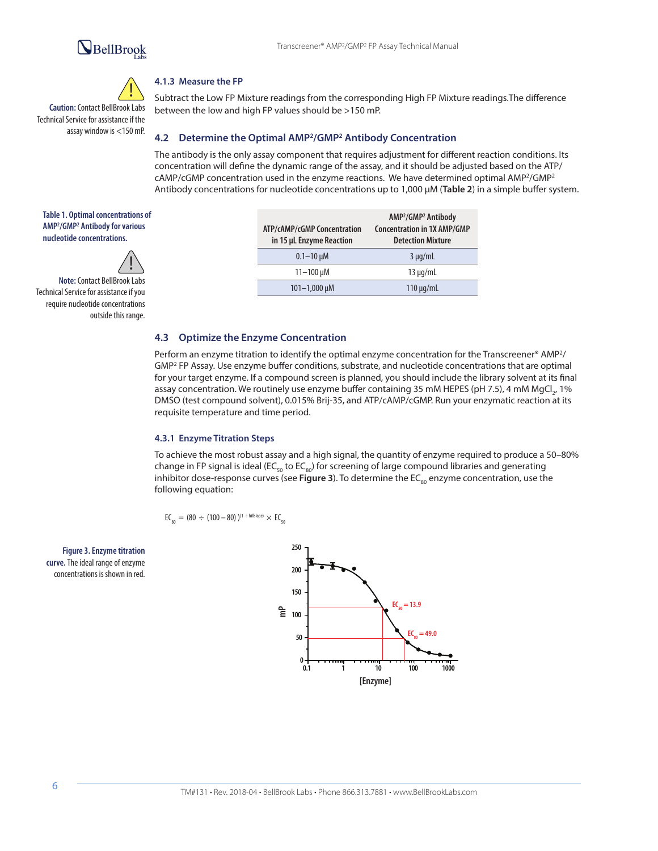# BellBrook



**Caution:** Contact BellBrook Labs Technical Service for assistance if the assay window is <150 mP.

# **4.1.3 Measure the FP**

Subtract the Low FP Mixture readings from the corresponding High FP Mixture readings.The difference between the low and high FP values should be >150 mP.

### **4.2 Determine the Optimal AMP2/GMP2 Antibody Concentration**

The antibody is the only assay component that requires adjustment for different reaction conditions. Its concentration will define the dynamic range of the assay, and it should be adjusted based on the ATP/ cAMP/cGMP concentration used in the enzyme reactions. We have determined optimal AMP2/GMP2 Antibody concentrations for nucleotide concentrations up to 1,000 µM (**Table 2**) in a simple buffer system.

**Table 1. Optimal concentrations of AMP2 /GMP2 Antibody for various nucleotide concentrations.** 



**Note:** Contact BellBrook Labs Technical Service for assistance if you require nucleotide concentrations outside this range.

| ATP/cAMP/cGMP Concentration<br>in 15 µL Enzyme Reaction | AMP <sup>2</sup> /GMP <sup>2</sup> Antibody<br><b>Concentration in 1X AMP/GMP</b><br><b>Detection Mixture</b> |
|---------------------------------------------------------|---------------------------------------------------------------------------------------------------------------|
| $0.1 - 10 \mu M$                                        | $3 \mu q/mL$                                                                                                  |
| $11 - 100 \mu M$                                        | $13 \mu q/mL$                                                                                                 |
| $101 - 1,000 \mu M$                                     | $110 \mu q/mL$                                                                                                |

#### **4.3 Optimize the Enzyme Concentration**

Perform an enzyme titration to identify the optimal enzyme concentration for the Transcreener® AMP2/ GMP2 FP Assay. Use enzyme buffer conditions, substrate, and nucleotide concentrations that are optimal for your target enzyme. If a compound screen is planned, you should include the library solvent at its final assay concentration. We routinely use enzyme buffer containing 35 mM HEPES (pH 7.5), 4 mM MgCl., 1% DMSO (test compound solvent), 0.015% Brij-35, and ATP/cAMP/cGMP. Run your enzymatic reaction at its requisite temperature and time period.

#### **4.3.1 Enzyme Titration Steps**

To achieve the most robust assay and a high signal, the quantity of enzyme required to produce a 50–80% The state of the state of the state of the state of the state of the state of the state of the state of the state of t change in FP signal is ideal (EC<sub>50</sub> to EC<sub>80</sub>) for screening of large compound libraries and generating inhibitor dose-response curves (see Figure 3). To determine the EC<sub>80</sub> enzyme concentration, use the following equation:

 $EC_{\text{on}} = (80 \div (100 - 80))^{(1 + \text{hillslope})} \times EC_{\text{on}}$ 

**Figure 3. Enzyme titration curve.** The ideal range of enzyme concentrations is shown in red.

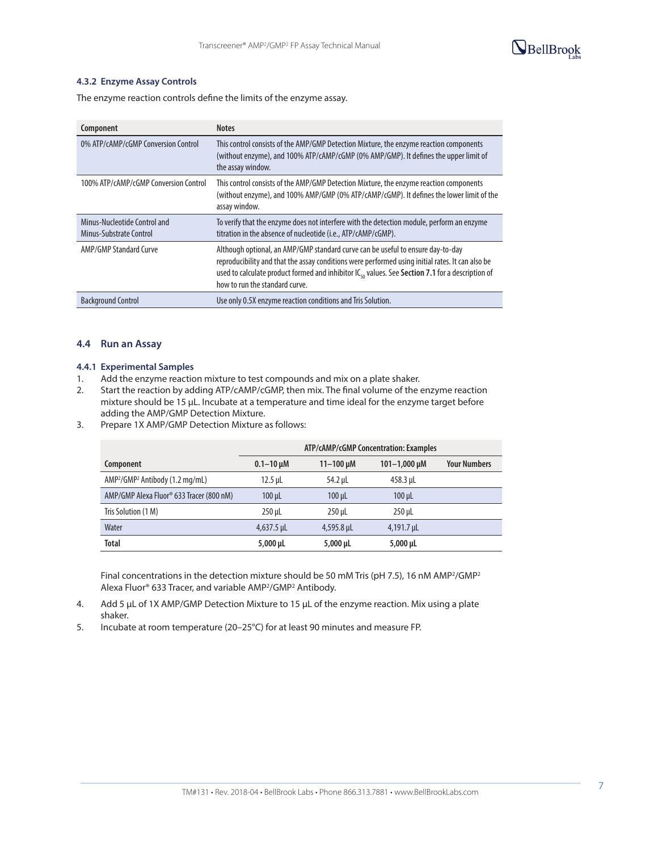

### **4.3.2 Enzyme Assay Controls**

The enzyme reaction controls define the limits of the enzyme assay.

| Component                                               | <b>Notes</b>                                                                                                                                                                                                                                                                                                                          |
|---------------------------------------------------------|---------------------------------------------------------------------------------------------------------------------------------------------------------------------------------------------------------------------------------------------------------------------------------------------------------------------------------------|
| 0% ATP/cAMP/cGMP Conversion Control                     | This control consists of the AMP/GMP Detection Mixture, the enzyme reaction components<br>(without enzyme), and 100% ATP/cAMP/cGMP (0% AMP/GMP). It defines the upper limit of<br>the assay window.                                                                                                                                   |
| 100% ATP/cAMP/cGMP Conversion Control                   | This control consists of the AMP/GMP Detection Mixture, the enzyme reaction components<br>(without enzyme), and 100% AMP/GMP (0% ATP/cAMP/cGMP). It defines the lower limit of the<br>assay window.                                                                                                                                   |
| Minus-Nucleotide Control and<br>Minus-Substrate Control | To verify that the enzyme does not interfere with the detection module, perform an enzyme<br>titration in the absence of nucleotide (i.e., ATP/cAMP/cGMP).                                                                                                                                                                            |
| <b>AMP/GMP Standard Curve</b>                           | Although optional, an AMP/GMP standard curve can be useful to ensure day-to-day<br>reproducibility and that the assay conditions were performed using initial rates. It can also be<br>used to calculate product formed and inhibitor IC <sub>50</sub> values. See Section 7.1 for a description of<br>how to run the standard curve. |
| <b>Background Control</b>                               | Use only 0.5X enzyme reaction conditions and Tris Solution.                                                                                                                                                                                                                                                                           |

### **4.4 Run an Assay**

#### **4.4.1 Experimental Samples**

- 1. Add the enzyme reaction mixture to test compounds and mix on a plate shaker.
- 2. Start the reaction by adding ATP/cAMP/cGMP, then mix. The final volume of the enzyme reaction mixture should be 15 µL. Incubate at a temperature and time ideal for the enzyme target before adding the AMP/GMP Detection Mixture.
- 3. Prepare 1X AMP/GMP Detection Mixture as follows:

|                                                         | ATP/cAMP/cGMP Concentration: Examples |                  |                     |                     |
|---------------------------------------------------------|---------------------------------------|------------------|---------------------|---------------------|
| Component                                               | $0.1 - 10 \mu M$                      | $11 - 100 \mu M$ | $101 - 1,000 \mu M$ | <b>Your Numbers</b> |
| AMP <sup>2</sup> /GMP <sup>2</sup> Antibody (1.2 mg/mL) | $12.5$ µL                             | 54.2 µL          | 458.3 µL            |                     |
| AMP/GMP Alexa Fluor® 633 Tracer (800 nM)                | $100 \mu L$                           | $100 \mu L$      | $100 \mu L$         |                     |
| Tris Solution (1 M)                                     | $250$ µL                              | $250$ µL         | $250$ µL            |                     |
| Water                                                   | $4,637.5$ µL                          | 4,595.8 µL       | 4,191.7 µL          |                     |
| <b>Total</b>                                            | $5,000 \mu L$                         | $5,000 \,\mu$ L  | $5,000 \mu L$       |                     |

Final concentrations in the detection mixture should be 50 mM Tris (pH 7.5), 16 nM AMP<sup>2</sup>/GMP<sup>2</sup> Alexa Fluor® 633 Tracer, and variable AMP2/GMP2 Antibody.

- 4. Add 5 µL of 1X AMP/GMP Detection Mixture to 15 µL of the enzyme reaction. Mix using a plate shaker.
- 5. Incubate at room temperature (20–25°C) for at least 90 minutes and measure FP.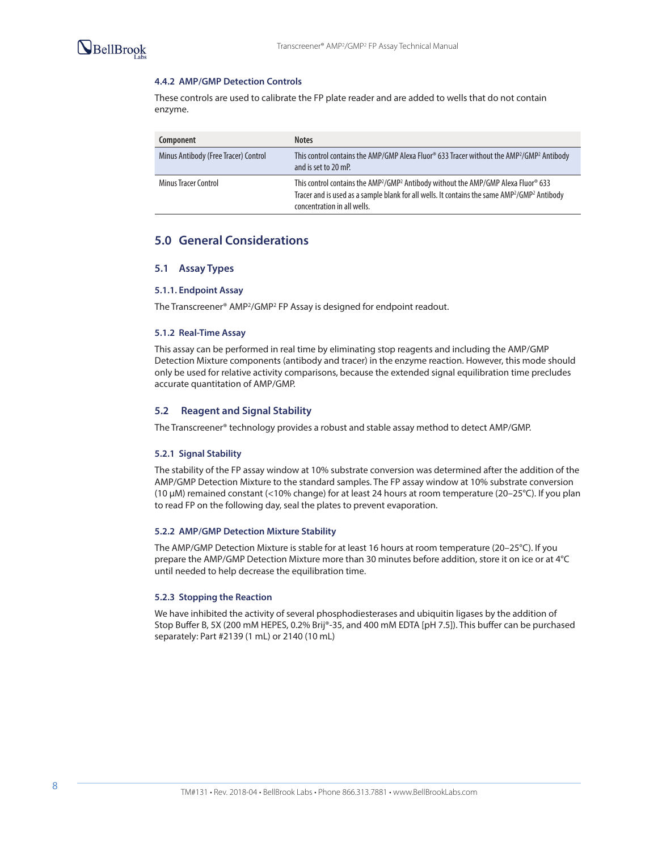

#### **4.4.2 AMP/GMP Detection Controls**

These controls are used to calibrate the FP plate reader and are added to wells that do not contain enzyme.

| Component                            | <b>Notes</b>                                                                                                                                                                                                                                                                  |
|--------------------------------------|-------------------------------------------------------------------------------------------------------------------------------------------------------------------------------------------------------------------------------------------------------------------------------|
| Minus Antibody (Free Tracer) Control | This control contains the AMP/GMP Alexa Fluor <sup>®</sup> 633 Tracer without the AMP <sup>2</sup> /GMP <sup>2</sup> Antibody<br>and is set to 20 mP.                                                                                                                         |
| <b>Minus Tracer Control</b>          | This control contains the AMP <sup>2</sup> /GMP <sup>2</sup> Antibody without the AMP/GMP Alexa Fluor <sup>®</sup> 633<br>Tracer and is used as a sample blank for all wells. It contains the same AMP <sup>2</sup> /GMP <sup>2</sup> Antibody<br>concentration in all wells. |

# **5.0 General Considerations**

#### **5.1 Assay Types**

#### **5.1.1. Endpoint Assay**

The Transcreener® AMP2/GMP2 FP Assay is designed for endpoint readout.

#### **5.1.2 Real-Time Assay**

This assay can be performed in real time by eliminating stop reagents and including the AMP/GMP Detection Mixture components (antibody and tracer) in the enzyme reaction. However, this mode should only be used for relative activity comparisons, because the extended signal equilibration time precludes accurate quantitation of AMP/GMP.

#### **5.2 Reagent and Signal Stability**

The Transcreener® technology provides a robust and stable assay method to detect AMP/GMP.

#### **5.2.1 Signal Stability**

The stability of the FP assay window at 10% substrate conversion was determined after the addition of the AMP/GMP Detection Mixture to the standard samples. The FP assay window at 10% substrate conversion (10 µM) remained constant (<10% change) for at least 24 hours at room temperature (20–25°C). If you plan to read FP on the following day, seal the plates to prevent evaporation.

#### **5.2.2 AMP/GMP Detection Mixture Stability**

The AMP/GMP Detection Mixture is stable for at least 16 hours at room temperature (20–25°C). If you prepare the AMP/GMP Detection Mixture more than 30 minutes before addition, store it on ice or at 4°C until needed to help decrease the equilibration time.

#### **5.2.3 Stopping the Reaction**

We have inhibited the activity of several phosphodiesterases and ubiquitin ligases by the addition of Stop Buffer B, 5X (200 mM HEPES, 0.2% Brij®-35, and 400 mM EDTA [pH 7.5]). This buffer can be purchased separately: Part #2139 (1 mL) or 2140 (10 mL)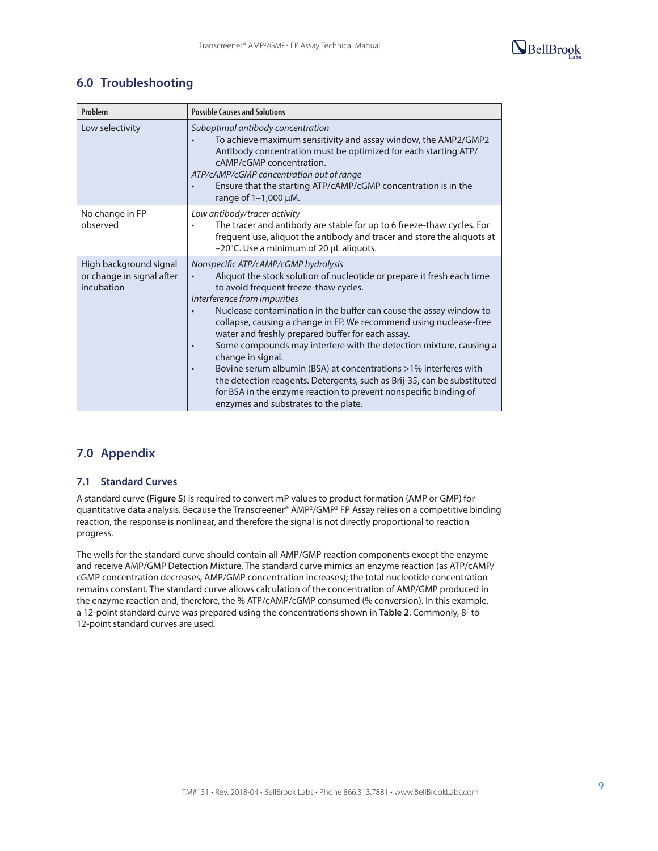

# **6.0 Troubleshooting**

| Problem                                                           | <b>Possible Causes and Solutions</b>                                                                                                                                                                                                                                                                                                                                                                                                                                                                                                                                                                                                                                                                                                                                     |  |  |  |
|-------------------------------------------------------------------|--------------------------------------------------------------------------------------------------------------------------------------------------------------------------------------------------------------------------------------------------------------------------------------------------------------------------------------------------------------------------------------------------------------------------------------------------------------------------------------------------------------------------------------------------------------------------------------------------------------------------------------------------------------------------------------------------------------------------------------------------------------------------|--|--|--|
| Low selectivity                                                   | Suboptimal antibody concentration<br>To achieve maximum sensitivity and assay window, the AMP2/GMP2<br>Antibody concentration must be optimized for each starting ATP/<br>cAMP/cGMP concentration.<br>ATP/cAMP/cGMP concentration out of range<br>Ensure that the starting ATP/cAMP/cGMP concentration is in the<br>$\bullet$<br>range of $1-1,000$ $\mu$ M.                                                                                                                                                                                                                                                                                                                                                                                                             |  |  |  |
| No change in FP<br>observed                                       | Low antibody/tracer activity<br>The tracer and antibody are stable for up to 6 freeze-thaw cycles. For<br>frequent use, aliquot the antibody and tracer and store the aliquots at<br>$-20^{\circ}$ C. Use a minimum of 20 µL aliquots.                                                                                                                                                                                                                                                                                                                                                                                                                                                                                                                                   |  |  |  |
| High background signal<br>or change in signal after<br>incubation | Nonspecific ATP/cAMP/cGMP hydrolysis<br>Aliquot the stock solution of nucleotide or prepare it fresh each time<br>to avoid frequent freeze-thaw cycles.<br>Interference from impurities<br>Nuclease contamination in the buffer can cause the assay window to<br>collapse, causing a change in FP. We recommend using nuclease-free<br>water and freshly prepared buffer for each assay.<br>Some compounds may interfere with the detection mixture, causing a<br>$\bullet$<br>change in signal.<br>Bovine serum albumin (BSA) at concentrations >1% interferes with<br>$\bullet$<br>the detection reagents. Detergents, such as Brij-35, can be substituted<br>for BSA in the enzyme reaction to prevent nonspecific binding of<br>enzymes and substrates to the plate. |  |  |  |

# **7.0 Appendix**

## **7.1 Standard Curves**

A standard curve (**Figure 5**) is required to convert mP values to product formation (AMP or GMP) for quantitative data analysis. Because the Transcreener® AMP2/GMP2 FP Assay relies on a competitive binding reaction, the response is nonlinear, and therefore the signal is not directly proportional to reaction progress.

The wells for the standard curve should contain all AMP/GMP reaction components except the enzyme and receive AMP/GMP Detection Mixture. The standard curve mimics an enzyme reaction (as ATP/cAMP/ cGMP concentration decreases, AMP/GMP concentration increases); the total nucleotide concentration remains constant. The standard curve allows calculation of the concentration of AMP/GMP produced in the enzyme reaction and, therefore, the % ATP/cAMP/cGMP consumed (% conversion). In this example, a 12-point standard curve was prepared using the concentrations shown in **Table 2**. Commonly, 8- to 12-point standard curves are used.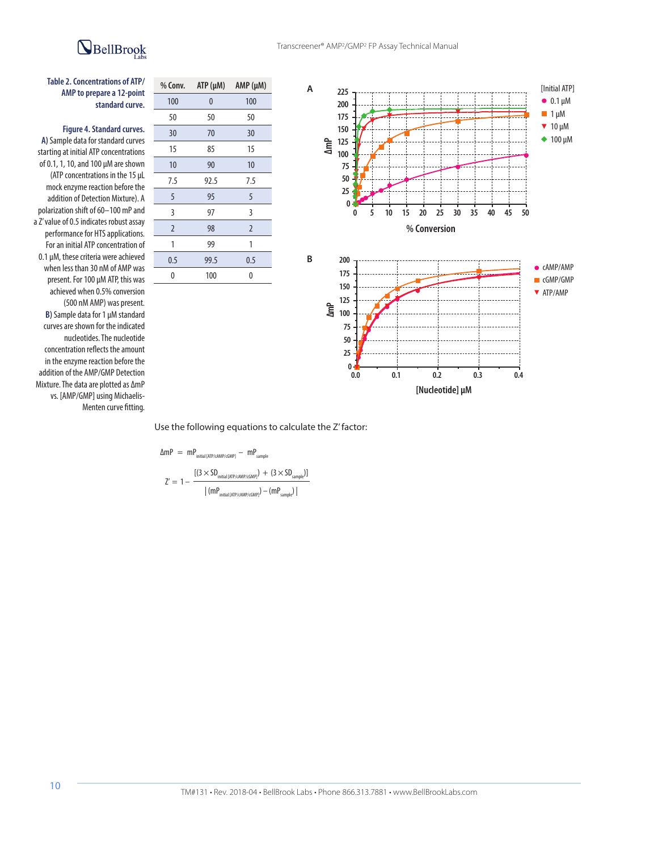# BellBrook



**Figure 4. Standard curves. A)** Sample data for standard curves starting at initial ATP concentrations of 0.1, 1, 10, and 100 µM are shown (ATP concentrations in the 15 µL mock enzyme reaction before the addition of Detection Mixture). A polarization shift of 60–100 mP and a Z' value of 0.5 indicates robust assay performance for HTS applications. For an initial ATP concentration of 0.1 µM, these criteria were achieved when less than 30 nM of AMP was present. For 100 µM ATP, this was achieved when 0.5% conversion (500 nM AMP) was present. **B)** Sample data for 1 µM standard curves are shown for the indicated nucleotides. The nucleotide concentration reflects the amount in the enzyme reaction before the addition of the AMP/GMP Detection Mixture. The data are plotted as ΔmP vs. [AMP/GMP] using Michaelis-Menten curve fitting.



Use the following equations to calculate the Z' factor:

$$
\Delta mP = mP_{initial [ATP/cAMP/cGMP]} - mP_{sample}
$$
\n
$$
Z' = 1 - \frac{[(3 \times SD_{initial [ATP/cAMP/cGMP]}) + (3 \times SD_{sample})]}{|(mP_{initial [ATP/cAMP/cGMP]}) - (mP_{sample})|}
$$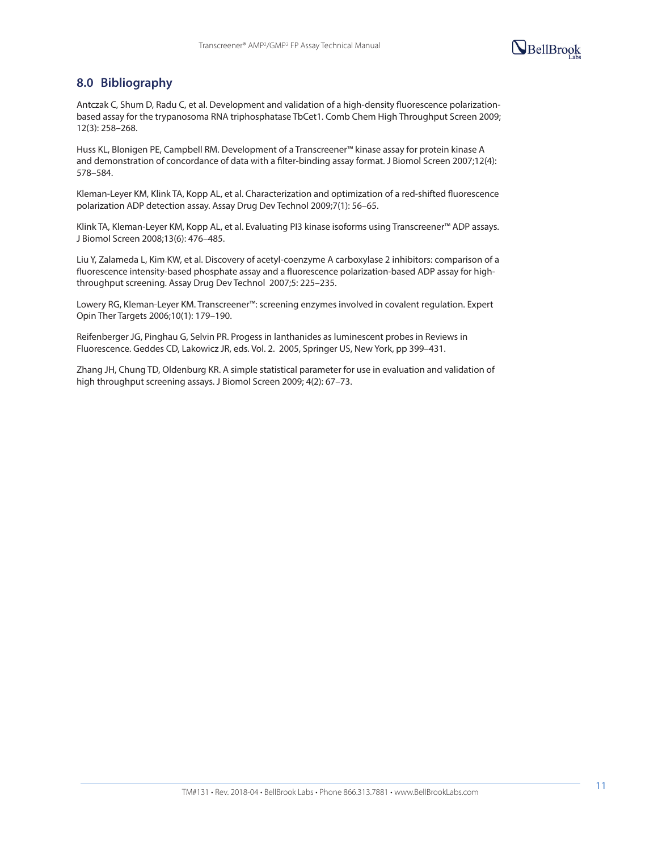

# **8.0 Bibliography**

Antczak C, Shum D, Radu C, et al. Development and validation of a high-density fluorescence polarizationbased assay for the trypanosoma RNA triphosphatase TbCet1. Comb Chem High Throughput Screen 2009; 12(3): 258–268.

Huss KL, Blonigen PE, Campbell RM. Development of a Transcreener™ kinase assay for protein kinase A and demonstration of concordance of data with a filter-binding assay format. J Biomol Screen 2007;12(4): 578–584.

Kleman-Leyer KM, Klink TA, Kopp AL, et al. Characterization and optimization of a red-shifted fluorescence polarization ADP detection assay. Assay Drug Dev Technol 2009;7(1): 56–65.

Klink TA, Kleman-Leyer KM, Kopp AL, et al. Evaluating PI3 kinase isoforms using Transcreener™ ADP assays. J Biomol Screen 2008;13(6): 476–485.

Liu Y, Zalameda L, Kim KW, et al. Discovery of acetyl-coenzyme A carboxylase 2 inhibitors: comparison of a fluorescence intensity-based phosphate assay and a fluorescence polarization-based ADP assay for highthroughput screening. Assay Drug Dev Technol 2007;5: 225–235.

Lowery RG, Kleman-Leyer KM. Transcreener™: screening enzymes involved in covalent regulation. Expert Opin Ther Targets 2006;10(1): 179–190.

Reifenberger JG, Pinghau G, Selvin PR. Progess in lanthanides as luminescent probes in Reviews in Fluorescence. Geddes CD, Lakowicz JR, eds. Vol. 2. 2005, Springer US, New York, pp 399–431.

Zhang JH, Chung TD, Oldenburg KR. A simple statistical parameter for use in evaluation and validation of high throughput screening assays. J Biomol Screen 2009; 4(2): 67–73.